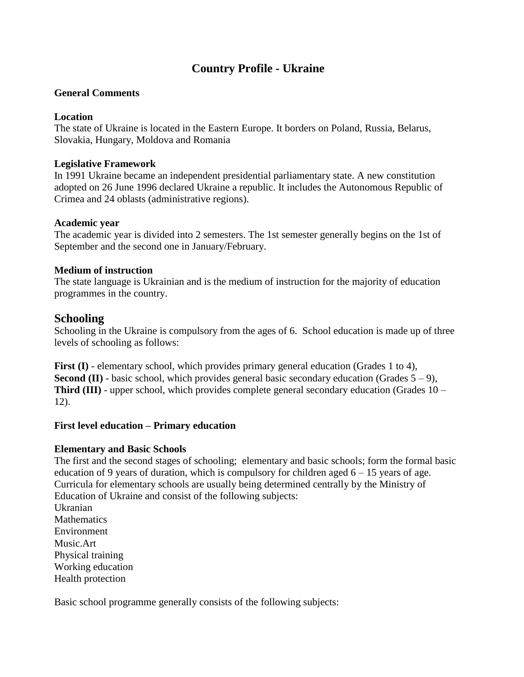# **Country Profile - Ukraine**

### **General Comments**

### **Location**

The state of Ukraine is located in the Eastern Europe. It borders on Poland, Russia, Belarus, Slovakia, Hungary, Moldova and Romania

### **Legislative Framework**

In 1991 Ukraine became an independent presidential parliamentary state. A new constitution adopted on 26 June 1996 declared Ukraine a republic. It includes the Autonomous Republic of Crimea and 24 oblasts (administrative regions).

### **Academic year**

The academic year is divided into 2 semesters. The 1st semester generally begins on the 1st of September and the second one in January/February.

### **Medium of instruction**

The state language is Ukrainian and is the medium of instruction for the majority of education programmes in the country.

## **Schooling**

Schooling in the Ukraine is compulsory from the ages of 6. School education is made up of three levels of schooling as follows:

**First (I)** - elementary school, which provides primary general education (Grades 1 to 4), **Second <b>(II)** - basic school, which provides general basic secondary education (Grades  $5 - 9$ ), **Third (III)** - upper school, which provides complete general secondary education (Grades 10 – 12).

## **First level education – Primary education**

## **Elementary and Basic Schools**

The first and the second stages of schooling; elementary and basic schools; form the formal basic education of 9 years of duration, which is compulsory for children aged  $6 - 15$  years of age. Curricula for elementary schools are usually being determined centrally by the Ministry of Education of Ukraine and consist of the following subjects: Ukranian **Mathematics** Environment Music.Art

Physical training Working education Health protection

Basic school programme generally consists of the following subjects: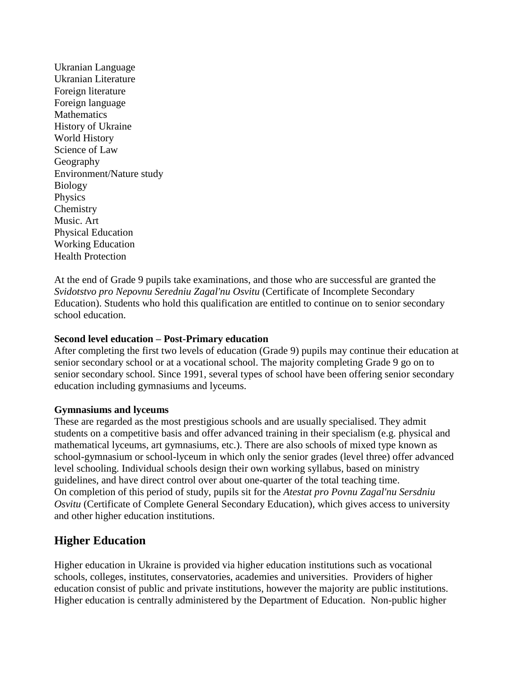Ukranian Language Ukranian Literature Foreign literature Foreign language **Mathematics** History of Ukraine World History Science of Law Geography Environment/Nature study Biology Physics **Chemistry** Music. Art Physical Education Working Education Health Protection

At the end of Grade 9 pupils take examinations, and those who are successful are granted the *Svidotstvo pro Nepovnu Seredniu Zagal'nu Osvitu* (Certificate of Incomplete Secondary Education). Students who hold this qualification are entitled to continue on to senior secondary school education.

## **Second level education – Post-Primary education**

After completing the first two levels of education (Grade 9) pupils may continue their education at senior secondary school or at a vocational school. The majority completing Grade 9 go on to senior secondary school. Since 1991, several types of school have been offering senior secondary education including gymnasiums and lyceums.

#### **Gymnasiums and lyceums**

These are regarded as the most prestigious schools and are usually specialised. They admit students on a competitive basis and offer advanced training in their specialism (e.g. physical and mathematical lyceums, art gymnasiums, etc.). There are also schools of mixed type known as school-gymnasium or school-lyceum in which only the senior grades (level three) offer advanced level schooling. Individual schools design their own working syllabus, based on ministry guidelines, and have direct control over about one-quarter of the total teaching time. On completion of this period of study, pupils sit for the *Atestat pro Povnu Zagal'nu Sersdniu Osvitu* (Certificate of Complete General Secondary Education), which gives access to university and other higher education institutions.

## **Higher Education**

Higher education in Ukraine is provided via higher education institutions such as vocational schools, colleges, institutes, conservatories, academies and universities. Providers of higher education consist of public and private institutions, however the majority are public institutions. Higher education is centrally administered by the Department of Education. Non-public higher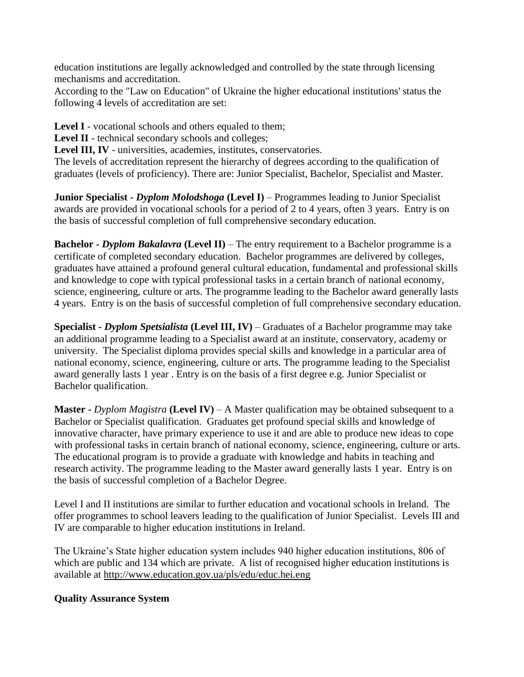education institutions are legally acknowledged and controlled by the state through licensing mechanisms and accreditation.

According to the "Law on Education" of Ukraine the higher educational institutions' status the following 4 levels of accreditation are set:

**Level I** - vocational schools and others equaled to them;

Level II - technical secondary schools and colleges;

**Level III, IV** - universities, academies, institutes, conservatories.

The levels of accreditation represent the hierarchy of degrees according to the qualification of graduates (levels of proficiency). There are: Junior Specialist, Bachelor, Specialist and Master.

**Junior Specialist -** *Dyplom Molodshoga* **(Level I)** – Programmes leading to Junior Specialist awards are provided in vocational schools for a period of 2 to 4 years, often 3 years. Entry is on the basis of successful completion of full comprehensive secondary education.

**Bachelor -** *Dyplom Bakalavra* (Level II) – The entry requirement to a Bachelor programme is a certificate of completed secondary education. Bachelor programmes are delivered by colleges, graduates have attained a profound general cultural education, fundamental and professional skills and knowledge to cope with typical professional tasks in a certain branch of national economy, science, engineering, culture or arts. The programme leading to the Bachelor award generally lasts 4 years. Entry is on the basis of successful completion of full comprehensive secondary education.

**Specialist -** *Dyplom Spetsialista* **(Level III, IV)** – Graduates of a Bachelor programme may take an additional programme leading to a Specialist award at an institute, conservatory, academy or university. The Specialist diploma provides special skills and knowledge in a particular area of national economy, science, engineering, culture or arts. The programme leading to the Specialist award generally lasts 1 year . Entry is on the basis of a first degree e.g. Junior Specialist or Bachelor qualification.

**Master -** *Dyplom Magistra* **(Level IV)** – A Master qualification may be obtained subsequent to a Bachelor or Specialist qualification. Graduates get profound special skills and knowledge of innovative character, have primary experience to use it and are able to produce new ideas to cope with professional tasks in certain branch of national economy, science, engineering, culture or arts. The educational program is to provide a graduate with knowledge and habits in teaching and research activity. The programme leading to the Master award generally lasts 1 year. Entry is on the basis of successful completion of a Bachelor Degree.

Level I and II institutions are similar to further education and vocational schools in Ireland. The offer programmes to school leavers leading to the qualification of Junior Specialist. Levels III and IV are comparable to higher education institutions in Ireland.

The Ukraine's State higher education system includes 940 higher education institutions, 806 of which are public and 134 which are private. A list of recognised higher education institutions is available at<http://www.education.gov.ua/pls/edu/educ.hei.eng>

## **Quality Assurance System**